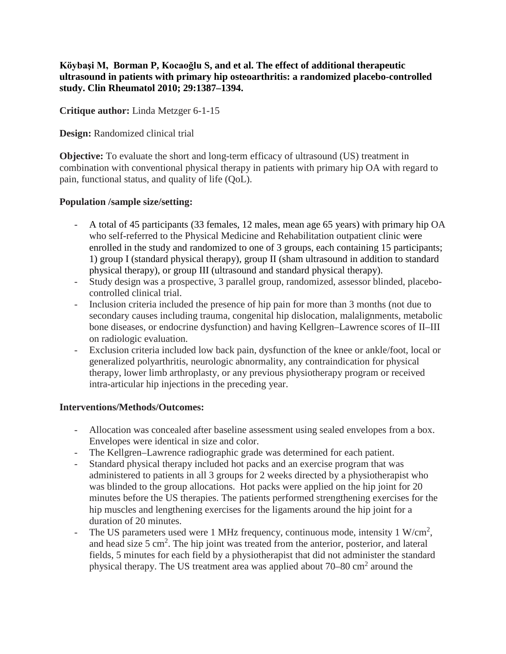**Köybaşi M, Borman P, Kocaoğlu S, and et al. The effect of additional therapeutic ultrasound in patients with primary hip osteoarthritis: a randomized placebo-controlled study. Clin Rheumatol 2010; 29:1387–1394.**

**Critique author:** Linda Metzger 6-1-15

**Design:** Randomized clinical trial

**Objective:** To evaluate the short and long-term efficacy of ultrasound (US) treatment in combination with conventional physical therapy in patients with primary hip OA with regard to pain, functional status, and quality of life (QoL).

#### **Population /sample size/setting:**

- A total of 45 participants (33 females, 12 males, mean age 65 years) with primary hip OA who self-referred to the Physical Medicine and Rehabilitation outpatient clinic were enrolled in the study and randomized to one of 3 groups, each containing 15 participants; 1) group I (standard physical therapy), group II (sham ultrasound in addition to standard physical therapy), or group III (ultrasound and standard physical therapy).
- Study design was a prospective, 3 parallel group, randomized, assessor blinded, placebocontrolled clinical trial.
- Inclusion criteria included the presence of hip pain for more than 3 months (not due to secondary causes including trauma, congenital hip dislocation, malalignments, metabolic bone diseases, or endocrine dysfunction) and having Kellgren–Lawrence scores of II–III on radiologic evaluation.
- Exclusion criteria included low back pain, dysfunction of the knee or ankle/foot, local or generalized polyarthritis, neurologic abnormality, any contraindication for physical therapy, lower limb arthroplasty, or any previous physiotherapy program or received intra-articular hip injections in the preceding year.

### **Interventions/Methods/Outcomes:**

- Allocation was concealed after baseline assessment using sealed envelopes from a box. Envelopes were identical in size and color.
- The Kellgren–Lawrence radiographic grade was determined for each patient.
- Standard physical therapy included hot packs and an exercise program that was administered to patients in all 3 groups for 2 weeks directed by a physiotherapist who was blinded to the group allocations. Hot packs were applied on the hip joint for 20 minutes before the US therapies. The patients performed strengthening exercises for the hip muscles and lengthening exercises for the ligaments around the hip joint for a duration of 20 minutes.
- The US parameters used were 1 MHz frequency, continuous mode, intensity 1 W/cm<sup>2</sup>, and head size  $5 \text{ cm}^2$ . The hip joint was treated from the anterior, posterior, and lateral fields, 5 minutes for each field by a physiotherapist that did not administer the standard physical therapy. The US treatment area was applied about  $70-80 \text{ cm}^2$  around the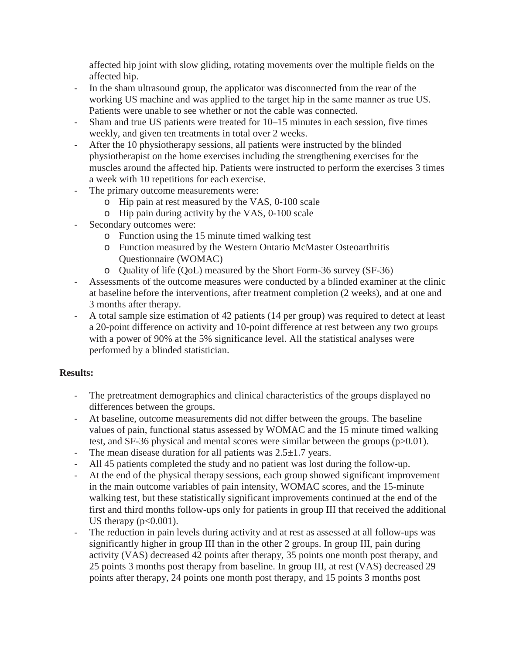affected hip joint with slow gliding, rotating movements over the multiple fields on the affected hip.

- In the sham ultrasound group, the applicator was disconnected from the rear of the working US machine and was applied to the target hip in the same manner as true US. Patients were unable to see whether or not the cable was connected.
- Sham and true US patients were treated for 10–15 minutes in each session, five times weekly, and given ten treatments in total over 2 weeks.
- After the 10 physiotherapy sessions, all patients were instructed by the blinded physiotherapist on the home exercises including the strengthening exercises for the muscles around the affected hip. Patients were instructed to perform the exercises 3 times a week with 10 repetitions for each exercise.
- The primary outcome measurements were:
	- o Hip pain at rest measured by the VAS, 0-100 scale
	- o Hip pain during activity by the VAS, 0-100 scale
- Secondary outcomes were:
	- o Function using the 15 minute timed walking test
	- o Function measured by the Western Ontario McMaster Osteoarthritis Questionnaire (WOMAC)
	- o Quality of life (QoL) measured by the Short Form-36 survey (SF-36)
- Assessments of the outcome measures were conducted by a blinded examiner at the clinic at baseline before the interventions, after treatment completion (2 weeks), and at one and 3 months after therapy.
- A total sample size estimation of 42 patients (14 per group) was required to detect at least a 20-point difference on activity and 10-point difference at rest between any two groups with a power of 90% at the 5% significance level. All the statistical analyses were performed by a blinded statistician.

### **Results:**

- The pretreatment demographics and clinical characteristics of the groups displayed no differences between the groups.
- At baseline, outcome measurements did not differ between the groups. The baseline values of pain, functional status assessed by WOMAC and the 15 minute timed walking test, and SF-36 physical and mental scores were similar between the groups (p>0.01).
- The mean disease duration for all patients was  $2.5\pm1.7$  years.
- All 45 patients completed the study and no patient was lost during the follow-up.
- At the end of the physical therapy sessions, each group showed significant improvement in the main outcome variables of pain intensity, WOMAC scores, and the 15-minute walking test, but these statistically significant improvements continued at the end of the first and third months follow-ups only for patients in group III that received the additional US therapy  $(p<0.001)$ .
- The reduction in pain levels during activity and at rest as assessed at all follow-ups was significantly higher in group III than in the other 2 groups. In group III, pain during activity (VAS) decreased 42 points after therapy, 35 points one month post therapy, and 25 points 3 months post therapy from baseline. In group III, at rest (VAS) decreased 29 points after therapy, 24 points one month post therapy, and 15 points 3 months post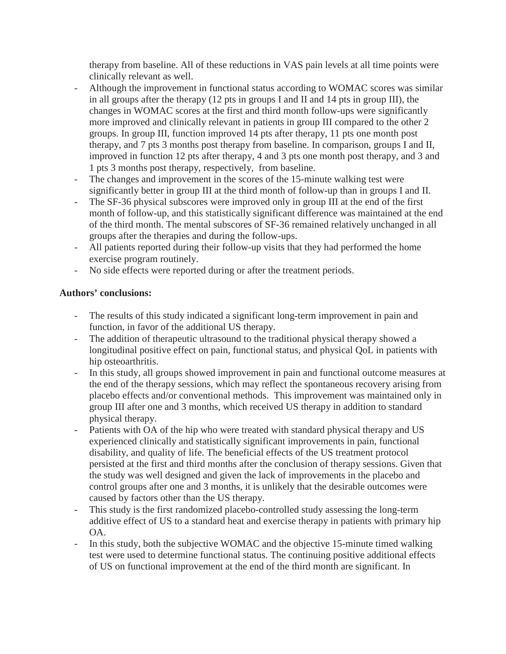therapy from baseline. All of these reductions in VAS pain levels at all time points were clinically relevant as well.

- Although the improvement in functional status according to WOMAC scores was similar in all groups after the therapy  $(12 \text{ pts in groups I and II and } 14 \text{ pts in group III})$ , the changes in WOMAC scores at the first and third month follow-ups were significantly more improved and clinically relevant in patients in group III compared to the other 2 groups. In group III, function improved 14 pts after therapy, 11 pts one month post therapy, and 7 pts 3 months post therapy from baseline. In comparison, groups I and II, improved in function 12 pts after therapy, 4 and 3 pts one month post therapy, and 3 and 1 pts 3 months post therapy, respectively, from baseline.
- The changes and improvement in the scores of the 15-minute walking test were significantly better in group III at the third month of follow-up than in groups I and II.
- The SF-36 physical subscores were improved only in group III at the end of the first month of follow-up, and this statistically significant difference was maintained at the end of the third month. The mental subscores of SF-36 remained relatively unchanged in all groups after the therapies and during the follow-ups.
- All patients reported during their follow-up visits that they had performed the home exercise program routinely.
- No side effects were reported during or after the treatment periods.

## **Authors' conclusions:**

- The results of this study indicated a significant long-term improvement in pain and function, in favor of the additional US therapy.
- The addition of therapeutic ultrasound to the traditional physical therapy showed a longitudinal positive effect on pain, functional status, and physical QoL in patients with hip osteoarthritis.
- In this study, all groups showed improvement in pain and functional outcome measures at the end of the therapy sessions, which may reflect the spontaneous recovery arising from placebo effects and/or conventional methods. This improvement was maintained only in group III after one and 3 months, which received US therapy in addition to standard physical therapy.
- Patients with OA of the hip who were treated with standard physical therapy and US experienced clinically and statistically significant improvements in pain, functional disability, and quality of life. The beneficial effects of the US treatment protocol persisted at the first and third months after the conclusion of therapy sessions. Given that the study was well designed and given the lack of improvements in the placebo and control groups after one and 3 months, it is unlikely that the desirable outcomes were caused by factors other than the US therapy.
- This study is the first randomized placebo-controlled study assessing the long-term additive effect of US to a standard heat and exercise therapy in patients with primary hip OA.
- In this study, both the subjective WOMAC and the objective 15-minute timed walking test were used to determine functional status. The continuing positive additional effects of US on functional improvement at the end of the third month are significant. In